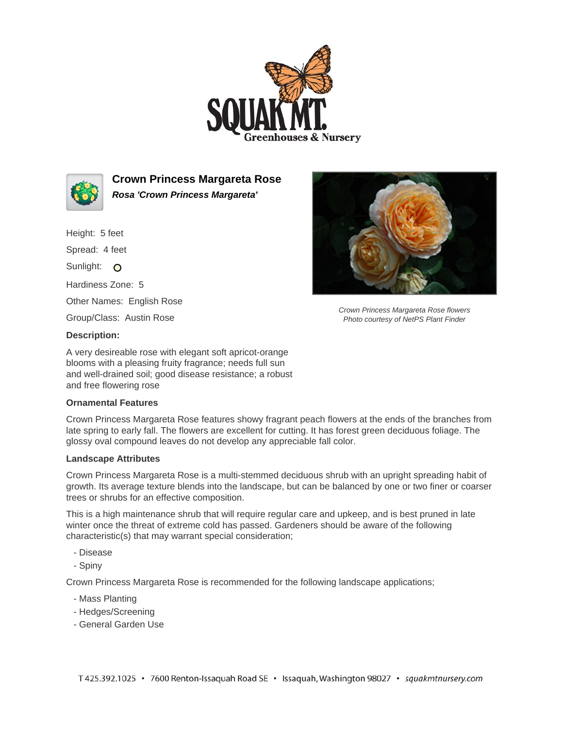



**Crown Princess Margareta Rose Rosa 'Crown Princess Margareta'**

Height: 5 feet

Spread: 4 feet

Sunlight: O

Hardiness Zone: 5

Other Names: English Rose

Group/Class: Austin Rose



Crown Princess Margareta Rose flowers Photo courtesy of NetPS Plant Finder

## **Description:**

A very desireable rose with elegant soft apricot-orange blooms with a pleasing fruity fragrance; needs full sun and well-drained soil; good disease resistance; a robust and free flowering rose

## **Ornamental Features**

Crown Princess Margareta Rose features showy fragrant peach flowers at the ends of the branches from late spring to early fall. The flowers are excellent for cutting. It has forest green deciduous foliage. The glossy oval compound leaves do not develop any appreciable fall color.

## **Landscape Attributes**

Crown Princess Margareta Rose is a multi-stemmed deciduous shrub with an upright spreading habit of growth. Its average texture blends into the landscape, but can be balanced by one or two finer or coarser trees or shrubs for an effective composition.

This is a high maintenance shrub that will require regular care and upkeep, and is best pruned in late winter once the threat of extreme cold has passed. Gardeners should be aware of the following characteristic(s) that may warrant special consideration;

- Disease
- Spiny

Crown Princess Margareta Rose is recommended for the following landscape applications;

- Mass Planting
- Hedges/Screening
- General Garden Use